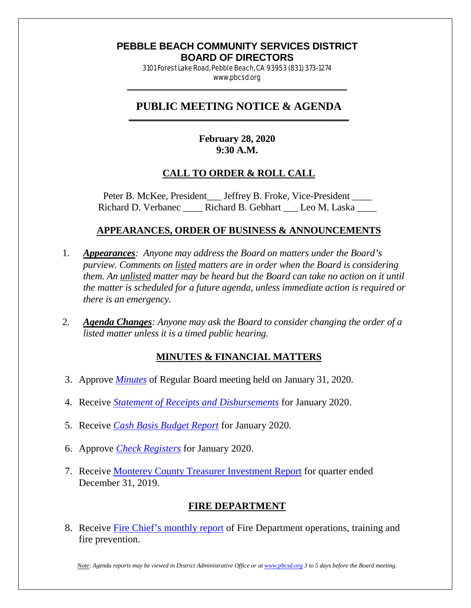#### **PEBBLE BEACH COMMUNITY SERVICES DISTRICT BOARD OF DIRECTORS**

3101 Forest Lake Road, Pebble Beach, CA 93953 (831) 373-1274 www.pbcsd.org \_\_\_\_\_\_\_\_\_\_\_\_\_\_\_\_\_\_\_\_\_\_\_\_\_\_\_\_\_\_\_\_\_\_\_\_\_\_\_\_\_\_\_\_\_\_\_\_\_\_\_\_\_\_\_\_\_\_\_

#### **PUBLIC MEETING NOTICE & AGENDA \_\_\_\_\_\_\_\_\_\_\_\_\_\_\_\_\_\_\_\_\_\_\_\_\_\_\_\_\_\_\_\_\_\_\_\_\_\_\_\_\_\_\_\_\_\_\_\_\_\_\_\_\_\_\_\_\_\_\_**

## **February 28, 2020 9:30 A.M.**

## **CALL TO ORDER & ROLL CALL**

Peter B. McKee, President \_\_\_ Jeffrey B. Froke, Vice-President \_\_\_\_ Richard D. Verbanec \_\_\_\_ Richard B. Gebhart \_\_\_ Leo M. Laska

### **APPEARANCES, ORDER OF BUSINESS & ANNOUNCEMENTS**

- 1. *Appearances: Anyone may address the Board on matters under the Board's purview. Comments on listed matters are in order when the Board is considering them. An unlisted matter may be heard but the Board can take no action on it until the matter is scheduled for a future agenda, unless immediate action is required or there is an emergency.*
- 2. *Agenda Changes: Anyone may ask the Board to consider changing the order of a listed matter unless it is a timed public hearing.*

## **MINUTES & FINANCIAL MATTERS**

- 3. Approve *[Minutes](http://pbcsd.org/wp-content/uploads/pbcsd/meetings/board/2020/2020-02-28/03-PBCSD-draft-minutes.pdf)* of Regular Board meeting held on January 31, 2020.
- 4. Receive *[Statement of Receipts and Disbursements](http://pbcsd.org/wp-content/uploads/pbcsd/meetings/board/2020/2020-02-28/04-Statement-Of-Receipts-Disbursements-Jan-2020.pdf)* for January 2020.
- 5. Receive *[Cash Basis Budget Report](http://pbcsd.org/wp-content/uploads/pbcsd/meetings/board/2020/2020-02-28/05-Cash-Basis-Budget-Report-Jan-2020.pdf)* for January 2020.
- 6. Approve *[Check Registers](http://pbcsd.org/wp-content/uploads/pbcsd/meetings/board/2020/2020-02-28/06-Check-Register-Jan-2020.pdf)* for January 2020.
- 7. Receive [Monterey County Treasurer Investment Report](http://pbcsd.org/wp-content/uploads/pbcsd/meetings/board/2020/2020-02-28/07-Monterey-County-Treasurers-Investment-Report-2nd-quarter-12.31.19.pdf) for quarter ended December 31, 2019.

## **FIRE DEPARTMENT**

8. Receive [Fire Chief's monthly report](http://pbcsd.org/wp-content/uploads/pbcsd/meetings/board/2020/2020-02-28/08-Fire-Department-Operations-Report-.pdf) of Fire Department operations, training and fire prevention.

*Note: Agenda reports may be viewed in District Administrative Office or a[t www.pbcsd.org](http://www.pbcsd.org/) 3 to 5 days before the Board meeting.*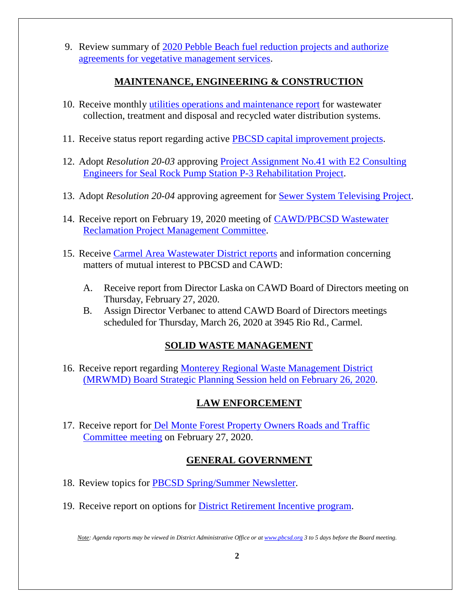9. Review summary of 2020 [Pebble Beach fuel reduction projects and authorize](http://pbcsd.org/wp-content/uploads/pbcsd/meetings/board/2020/2020-02-28/09-Fire-Fuel-Reduction-Project.pdf)  [agreements for vegetative management services.](http://pbcsd.org/wp-content/uploads/pbcsd/meetings/board/2020/2020-02-28/09-Fire-Fuel-Reduction-Project.pdf)

## **MAINTENANCE, ENGINEERING & CONSTRUCTION**

- 10. Receive monthly [utilities operations and maintenance report](http://pbcsd.org/wp-content/uploads/pbcsd/meetings/board/2020/2020-02-28/10-OM-Report-February-2020.pdf) for wastewater collection, treatment and disposal and recycled water distribution systems.
- 11. Receive status report regarding active **PBCSD** capital improvement projects.
- 12. Adopt *Resolution 20-03* approving [Project Assignment](http://pbcsd.org/wp-content/uploads/pbcsd/meetings/board/2020/2020-02-28/12-Res-20-03-Project-Assignment-No.41-Pump-St-P3-With-E2-Consulting-.pdf) No.41 with E2 Consulting [Engineers for Seal Rock Pump Station P-3 Rehabilitation Project.](http://pbcsd.org/wp-content/uploads/pbcsd/meetings/board/2020/2020-02-28/12-Res-20-03-Project-Assignment-No.41-Pump-St-P3-With-E2-Consulting-.pdf)
- 13. Adopt *Resolution 20-04* approving agreement for [Sewer System Televising Project.](http://pbcsd.org/wp-content/uploads/pbcsd/meetings/board/2020/2020-02-28/13-Res-20-04-Sewer-System-Television-Project.pdf)
- 14. Receive report on February 19, 2020 meeting of [CAWD/PBCSD Wastewater](http://pbcsd.org/wp-content/uploads/pbcsd/meetings/board/2020/2020-02-28/14-Reclamation-Management-Commitee-Report-Feb-19-2020.pdf)  [Reclamation Project Management Committee.](http://pbcsd.org/wp-content/uploads/pbcsd/meetings/board/2020/2020-02-28/14-Reclamation-Management-Commitee-Report-Feb-19-2020.pdf)
- 15. Receive [Carmel Area Wastewater District reports](http://pbcsd.org/wp-content/uploads/pbcsd/meetings/board/2020/2020-02-28/15-CAWD-Regular-Board-Meeting-Agenda-Reports-for-February-2019.pdf) and information concerning matters of mutual interest to PBCSD and CAWD:
	- A. Receive report from Director Laska on CAWD Board of Directors meeting on Thursday, February 27, 2020.
	- B. Assign Director Verbanec to attend CAWD Board of Directors meetings scheduled for Thursday, March 26, 2020 at 3945 Rio Rd., Carmel.

## **SOLID WASTE MANAGEMENT**

16. Receive report regarding [Monterey Regional Waste Management District](http://pbcsd.org/wp-content/uploads/pbcsd/meetings/board/2020/2020-02-28/16-MRWMD-Strategic-Planning-Retreat-2_26_2020.pdf)  [\(MRWMD\) Board Strategic Planning Session](http://pbcsd.org/wp-content/uploads/pbcsd/meetings/board/2020/2020-02-28/16-MRWMD-Strategic-Planning-Retreat-2_26_2020.pdf) held on February 26, 2020.

# **LAW ENFORCEMENT**

17. Receive report for **Del Monte Forest Property Owners Roads and Traffic** [Committee meeting](http://pbcsd.org/wp-content/uploads/pbcsd/meetings/board/2020/2020-02-28/17-DMFPO-Roads-Traff-Com-Mtg.pdf) on February 27, 2020.

# **GENERAL GOVERNMENT**

- 18. Review topics for [PBCSD Spring/Summer Newsletter.](http://pbcsd.org/wp-content/uploads/pbcsd/meetings/board/2020/2020-02-28/18-PBCSD-Spring_Summer-Newsletter-Topics.pdf)
- 19. Receive report on options for District [Retirement Incentive program.](http://pbcsd.org/wp-content/uploads/pbcsd/meetings/board/2020/2020-02-28/19-District-Retirement-Incentive-Program-Report.pdf)

*Note: Agenda reports may be viewed in District Administrative Office or a[t www.pbcsd.org](http://www.pbcsd.org/) 3 to 5 days before the Board meeting.*